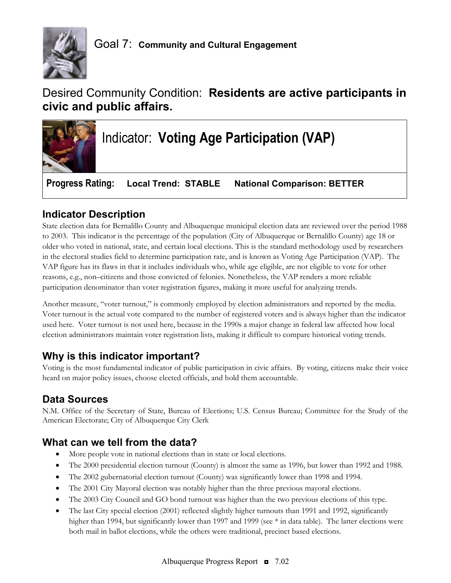

# Desired Community Condition: **Residents are active participants in civic and public affairs.**



# **Indicator Description**

State election data for Bernalillo County and Albuquerque municipal election data are reviewed over the period 1988 to 2003. This indicator is the percentage of the population (City of Albuquerque or Bernalillo County) age 18 or older who voted in national, state, and certain local elections. This is the standard methodology used by researchers in the electoral studies field to determine participation rate, and is known as Voting Age Participation (VAP). The VAP figure has its flaws in that it includes individuals who, while age eligible, are not eligible to vote for other reasons, e.g., non–citizens and those convicted of felonies. Nonetheless, the VAP renders a more reliable participation denominator than voter registration figures, making it more useful for analyzing trends.

Another measure, "voter turnout," is commonly employed by election administrators and reported by the media. Voter turnout is the actual vote compared to the number of registered voters and is always higher than the indicator used here. Voter turnout is not used here, because in the 1990s a major change in federal law affected how local election administrators maintain voter registration lists, making it difficult to compare historical voting trends.

# **Why is this indicator important?**

Voting is the most fundamental indicator of public participation in civic affairs. By voting, citizens make their voice heard on major policy issues, choose elected officials, and hold them accountable.

### **Data Sources**

N.M. Office of the Secretary of State, Bureau of Elections; U.S. Census Bureau; Committee for the Study of the American Electorate; City of Albuquerque City Clerk

### **What can we tell from the data?**

- More people vote in national elections than in state or local elections.
- The 2000 presidential election turnout (County) is almost the same as 1996, but lower than 1992 and 1988.
- The 2002 gubernatorial election turnout (County) was significantly lower than 1998 and 1994.
- The 2001 City Mayoral election was notably higher than the three previous mayoral elections.
- The 2003 City Council and GO bond turnout was higher than the two previous elections of this type.
- The last City special election (2001) reflected slightly higher turnouts than 1991 and 1992, significantly higher than 1994, but significantly lower than 1997 and 1999 (see  $*$  in data table). The latter elections were both mail in ballot elections, while the others were traditional, precinct based elections.